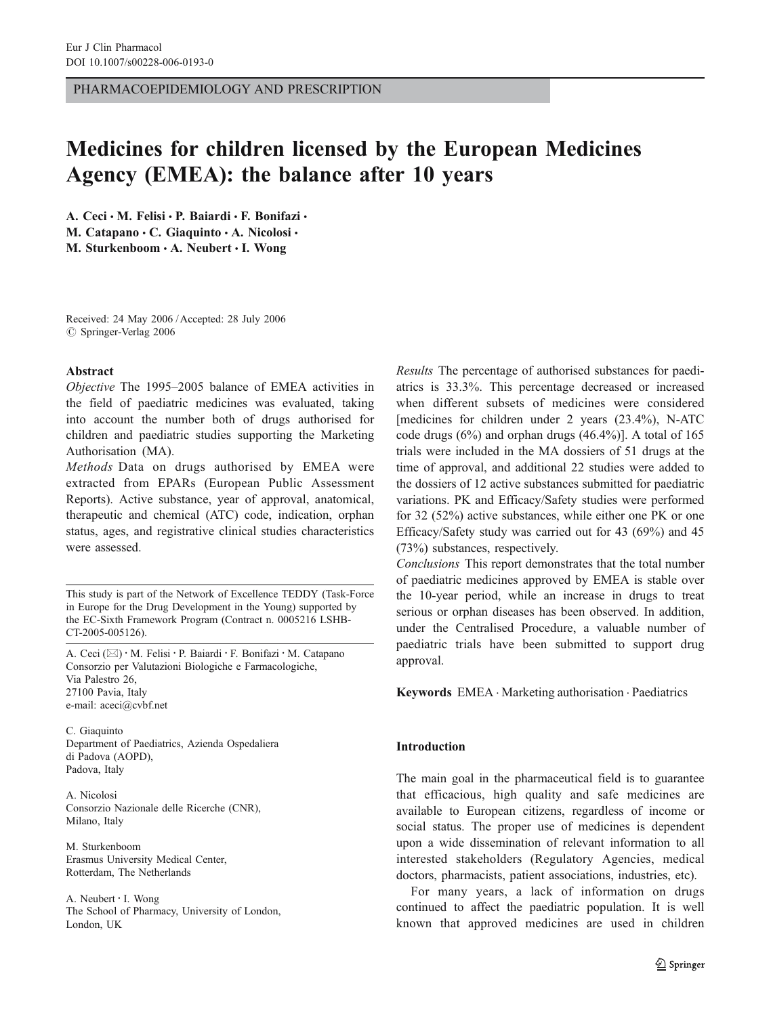PHARMACOEPIDEMIOLOGY AND PRESCRIPTION

# Medicines for children licensed by the European Medicines Agency (EMEA): the balance after 10 years

A. Ceci · M. Felisi · P. Baiardi · F. Bonifazi · M. Catapano  $\cdot$  C. Giaquinto  $\cdot$  A. Nicolosi  $\cdot$ M. Sturkenboom · A. Neubert · I. Wong

Received: 24 May 2006 /Accepted: 28 July 2006  $\oslash$  Springer-Verlag 2006

#### Abstract

Objective The 1995–2005 balance of EMEA activities in the field of paediatric medicines was evaluated, taking into account the number both of drugs authorised for children and paediatric studies supporting the Marketing Authorisation (MA).

Methods Data on drugs authorised by EMEA were extracted from EPARs (European Public Assessment Reports). Active substance, year of approval, anatomical, therapeutic and chemical (ATC) code, indication, orphan status, ages, and registrative clinical studies characteristics were assessed.

This study is part of the Network of Excellence TEDDY (Task-Force in Europe for the Drug Development in the Young) supported by the EC-Sixth Framework Program (Contract n. 0005216 LSHB-CT-2005-005126).

A. Ceci (*\**) : M. Felisi : P. Baiardi : F. Bonifazi : M. Catapano Consorzio per Valutazioni Biologiche e Farmacologiche, Via Palestro 26, 27100 Pavia, Italy e-mail: aceci@cvbf.net

C. Giaquinto Department of Paediatrics, Azienda Ospedaliera di Padova (AOPD), Padova, Italy

A. Nicolosi Consorzio Nazionale delle Ricerche (CNR), Milano, Italy

M. Sturkenboom Erasmus University Medical Center, Rotterdam, The Netherlands

A. Neubert : I. Wong The School of Pharmacy, University of London, London, UK

Results The percentage of authorised substances for paediatrics is 33.3%. This percentage decreased or increased when different subsets of medicines were considered [medicines for children under 2 years (23.4%), N-ATC code drugs (6%) and orphan drugs (46.4%)]. A total of 165 trials were included in the MA dossiers of 51 drugs at the time of approval, and additional 22 studies were added to the dossiers of 12 active substances submitted for paediatric variations. PK and Efficacy/Safety studies were performed for 32 (52%) active substances, while either one PK or one Efficacy/Safety study was carried out for 43 (69%) and 45 (73%) substances, respectively.

Conclusions This report demonstrates that the total number of paediatric medicines approved by EMEA is stable over the 10-year period, while an increase in drugs to treat serious or orphan diseases has been observed. In addition, under the Centralised Procedure, a valuable number of paediatric trials have been submitted to support drug approval.

Keywords EMEA . Marketing authorisation . Paediatrics

#### Introduction

The main goal in the pharmaceutical field is to guarantee that efficacious, high quality and safe medicines are available to European citizens, regardless of income or social status. The proper use of medicines is dependent upon a wide dissemination of relevant information to all interested stakeholders (Regulatory Agencies, medical doctors, pharmacists, patient associations, industries, etc).

For many years, a lack of information on drugs continued to affect the paediatric population. It is well known that approved medicines are used in children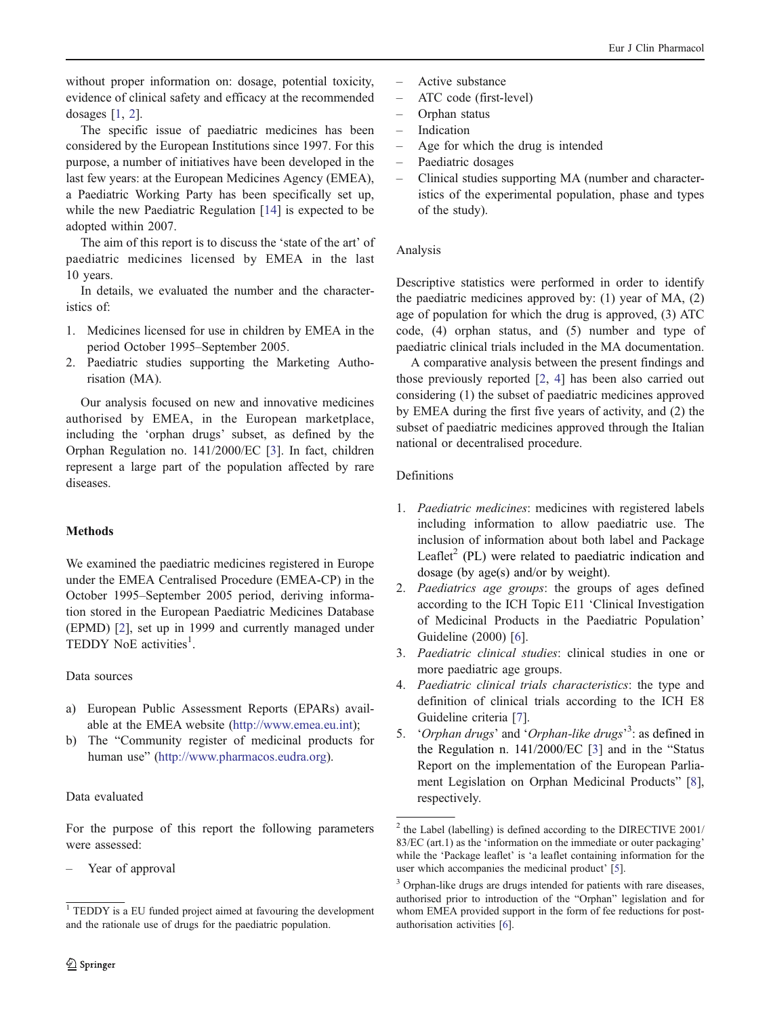without proper information on: dosage, potential toxicity, evidence of clinical safety and efficacy at the recommended dosages  $[1, 2]$  $[1, 2]$  $[1, 2]$  $[1, 2]$ .

The specific issue of paediatric medicines has been considered by the European Institutions since 1997. For this purpose, a number of initiatives have been developed in the last few years: at the European Medicines Agency (EMEA), a Paediatric Working Party has been specifically set up, while the new Paediatric Regulation [\[14](#page-5-0)] is expected to be adopted within 2007.

The aim of this report is to discuss the 'state of the art' of paediatric medicines licensed by EMEA in the last 10 years.

In details, we evaluated the number and the characteristics of:

- 1. Medicines licensed for use in children by EMEA in the period October 1995–September 2005.
- 2. Paediatric studies supporting the Marketing Authorisation (MA).

Our analysis focused on new and innovative medicines authorised by EMEA, in the European marketplace, including the 'orphan drugs' subset, as defined by the Orphan Regulation no. 141/2000/EC [[3\]](#page-5-0). In fact, children represent a large part of the population affected by rare diseases.

# **Methods**

We examined the paediatric medicines registered in Europe under the EMEA Centralised Procedure (EMEA-CP) in the October 1995–September 2005 period, deriving information stored in the European Paediatric Medicines Database (EPMD) [[2\]](#page-5-0), set up in 1999 and currently managed under TEDDY NoE activities<sup>1</sup>.

# Data sources

- a) European Public Assessment Reports (EPARs) available at the EMEA website [\(http://www.emea.eu.int](http://www.emea.eu.int));
- b) The "Community register of medicinal products for human use" [\(http://www.pharmacos.eudra.org](http://www.pharmacos.eudra.org)).

# Data evaluated

For the purpose of this report the following parameters were assessed:

Year of approval

- Active substance
- ATC code (first-level)
- Orphan status
- Indication
- Age for which the drug is intended
- Paediatric dosages
- Clinical studies supporting MA (number and characteristics of the experimental population, phase and types of the study).

## Analysis

Descriptive statistics were performed in order to identify the paediatric medicines approved by: (1) year of MA, (2) age of population for which the drug is approved, (3) ATC code, (4) orphan status, and (5) number and type of paediatric clinical trials included in the MA documentation.

A comparative analysis between the present findings and those previously reported [[2,](#page-5-0) [4](#page-5-0)] has been also carried out considering (1) the subset of paediatric medicines approved by EMEA during the first five years of activity, and (2) the subset of paediatric medicines approved through the Italian national or decentralised procedure.

## Definitions

- 1. Paediatric medicines: medicines with registered labels including information to allow paediatric use. The inclusion of information about both label and Package Leaflet<sup>2</sup> (PL) were related to paediatric indication and dosage (by age(s) and/or by weight).
- 2. Paediatrics age groups: the groups of ages defined according to the ICH Topic E11 'Clinical Investigation of Medicinal Products in the Paediatric Population' Guideline (2000) [[6\]](#page-5-0).
- 3. Paediatric clinical studies: clinical studies in one or more paediatric age groups.
- 4. Paediatric clinical trials characteristics: the type and definition of clinical trials according to the ICH E8 Guideline criteria [[7\]](#page-5-0).
- 5. 'Orphan drugs' and 'Orphan-like drugs'<sup>3</sup>: as defined in the Regulation n. 141/2000/EC [[3\]](#page-5-0) and in the "Status Report on the implementation of the European Parliament Legislation on Orphan Medicinal Products" [[8\]](#page-5-0), respectively.

<sup>&</sup>lt;sup>1</sup> TEDDY is a EU funded project aimed at favouring the development and the rationale use of drugs for the paediatric population.

<sup>2</sup> the Label (labelling) is defined according to the DIRECTIVE 2001/ 83/EC (art.1) as the 'information on the immediate or outer packaging' while the 'Package leaflet' is 'a leaflet containing information for the user which accompanies the medicinal product' [[5\]](#page-5-0).

<sup>&</sup>lt;sup>3</sup> Orphan-like drugs are drugs intended for patients with rare diseases, authorised prior to introduction of the "Orphan" legislation and for whom EMEA provided support in the form of fee reductions for postauthorisation activities [\[6\]](#page-5-0).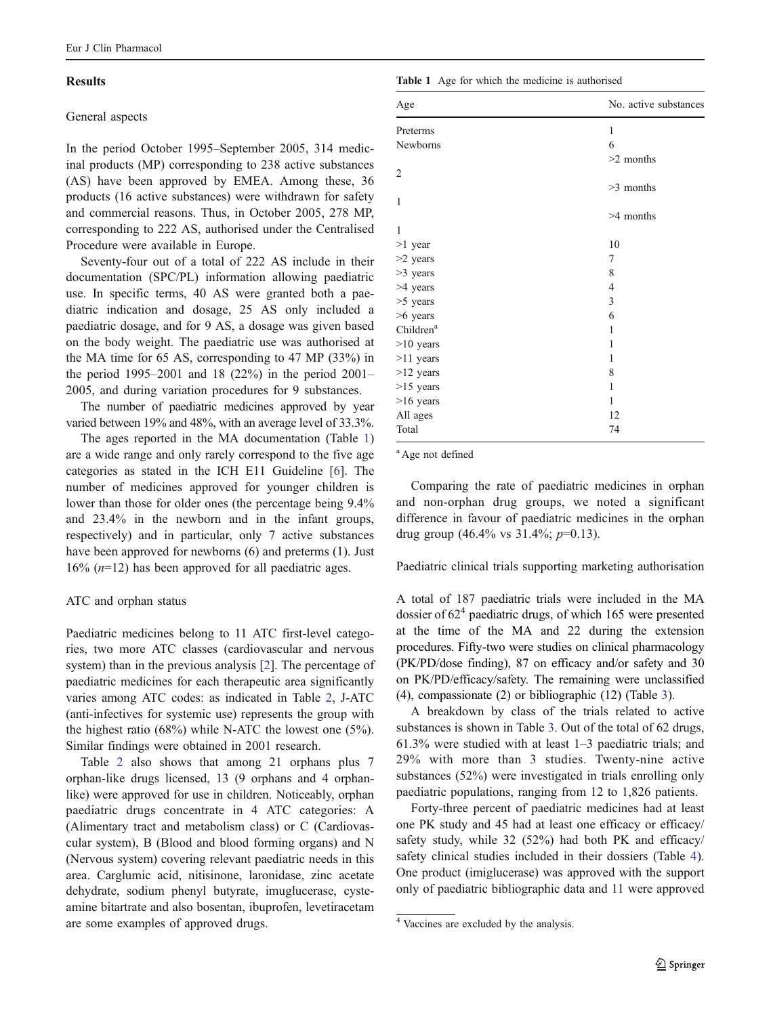## **Results**

#### General aspects

In the period October 1995–September 2005, 314 medicinal products (MP) corresponding to 238 active substances (AS) have been approved by EMEA. Among these, 36 products (16 active substances) were withdrawn for safety and commercial reasons. Thus, in October 2005, 278 MP, corresponding to 222 AS, authorised under the Centralised Procedure were available in Europe.

Seventy-four out of a total of 222 AS include in their documentation (SPC/PL) information allowing paediatric use. In specific terms, 40 AS were granted both a paediatric indication and dosage, 25 AS only included a paediatric dosage, and for 9 AS, a dosage was given based on the body weight. The paediatric use was authorised at the MA time for 65 AS, corresponding to 47 MP (33%) in the period 1995–2001 and 18 (22%) in the period 2001– 2005, and during variation procedures for 9 substances.

The number of paediatric medicines approved by year varied between 19% and 48%, with an average level of 33.3%.

The ages reported in the MA documentation (Table 1) are a wide range and only rarely correspond to the five age categories as stated in the ICH E11 Guideline [[6\]](#page-5-0). The number of medicines approved for younger children is lower than those for older ones (the percentage being 9.4% and 23.4% in the newborn and in the infant groups, respectively) and in particular, only 7 active substances have been approved for newborns (6) and preterms (1). Just  $16\%$  ( $n=12$ ) has been approved for all paediatric ages.

## ATC and orphan status

Paediatric medicines belong to 11 ATC first-level categories, two more ATC classes (cardiovascular and nervous system) than in the previous analysis [[2\]](#page-5-0). The percentage of paediatric medicines for each therapeutic area significantly varies among ATC codes: as indicated in Table [2,](#page-3-0) J-ATC (anti-infectives for systemic use) represents the group with the highest ratio (68%) while N-ATC the lowest one (5%). Similar findings were obtained in 2001 research.

Table [2](#page-3-0) also shows that among 21 orphans plus 7 orphan-like drugs licensed, 13 (9 orphans and 4 orphanlike) were approved for use in children. Noticeably, orphan paediatric drugs concentrate in 4 ATC categories: A (Alimentary tract and metabolism class) or C (Cardiovascular system), B (Blood and blood forming organs) and N (Nervous system) covering relevant paediatric needs in this area. Carglumic acid, nitisinone, laronidase, zinc acetate dehydrate, sodium phenyl butyrate, imuglucerase, cysteamine bitartrate and also bosentan, ibuprofen, levetiracetam are some examples of approved drugs.

Table 1 Age for which the medicine is authorised

| Age                   | No. active substances |
|-----------------------|-----------------------|
| Preterms              | 1                     |
| Newborns              | 6                     |
|                       | $>2$ months           |
| $\overline{2}$        |                       |
|                       | $>3$ months           |
| 1                     |                       |
|                       | $>4$ months           |
| 1                     |                       |
| $>1$ year             | 10                    |
| $>2$ years            | 7                     |
| $>3$ years            | 8                     |
| >4 years              | 4                     |
| $>5$ years            | 3                     |
| $>6$ years            | 6                     |
| Children <sup>a</sup> | 1                     |
| $>10$ years           | 1                     |
| $>11$ years           | 1                     |
| $>12$ years           | 8                     |
| $>15$ years           | 1                     |
| $>16$ years           | 1                     |
| All ages              | 12                    |
| Total                 | 74                    |

<sup>a</sup> Age not defined

Comparing the rate of paediatric medicines in orphan and non-orphan drug groups, we noted a significant difference in favour of paediatric medicines in the orphan drug group  $(46.4\% \text{ vs } 31.4\%; p=0.13)$ .

Paediatric clinical trials supporting marketing authorisation

A total of 187 paediatric trials were included in the MA dossier of  $62<sup>4</sup>$  paediatric drugs, of which 165 were presented at the time of the MA and 22 during the extension procedures. Fifty-two were studies on clinical pharmacology (PK/PD/dose finding), 87 on efficacy and/or safety and 30 on PK/PD/efficacy/safety. The remaining were unclassified (4), compassionate (2) or bibliographic (12) (Table [3](#page-3-0)).

A breakdown by class of the trials related to active substances is shown in Table [3](#page-3-0). Out of the total of 62 drugs, 61.3% were studied with at least 1–3 paediatric trials; and 29% with more than 3 studies. Twenty-nine active substances (52%) were investigated in trials enrolling only paediatric populations, ranging from 12 to 1,826 patients.

Forty-three percent of paediatric medicines had at least one PK study and 45 had at least one efficacy or efficacy/ safety study, while 32 (52%) had both PK and efficacy/ safety clinical studies included in their dossiers (Table [4\)](#page-3-0). One product (imiglucerase) was approved with the support only of paediatric bibliographic data and 11 were approved

<sup>4</sup> Vaccines are excluded by the analysis.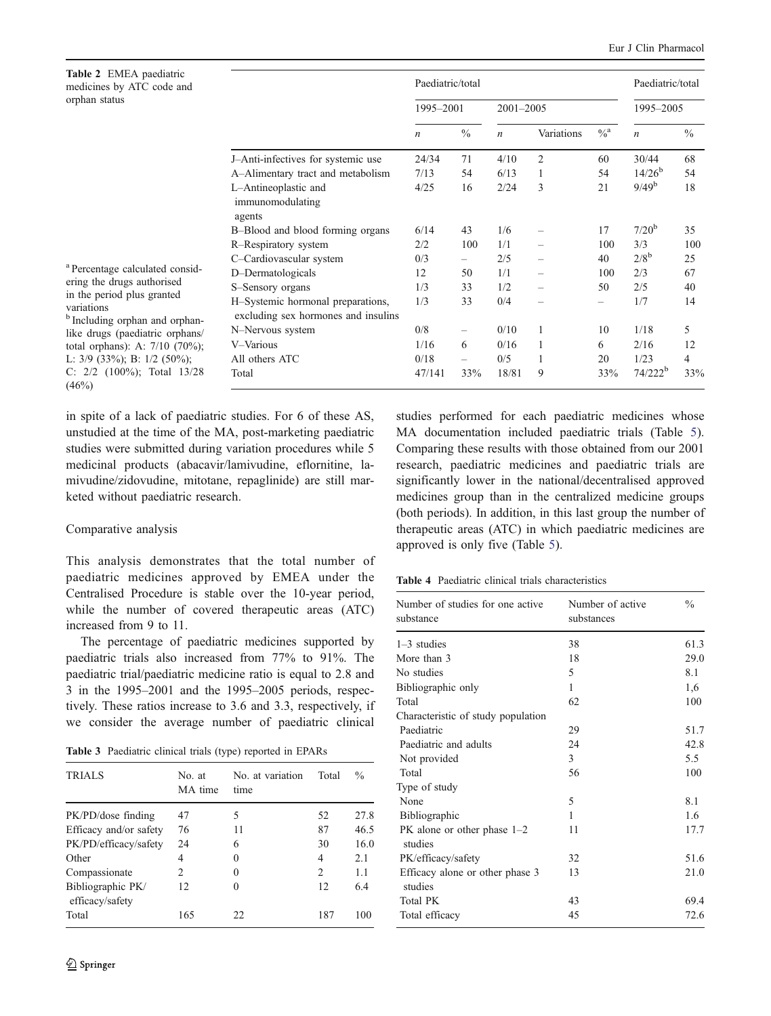<span id="page-3-0"></span>

| Table 2 EMEA paediatric<br>medicines by ATC code and<br>orphan status                                                                                                                                                                                                       |                                                                          | Paediatric/total |                   |                  |              | Paediatric/total |                     |               |
|-----------------------------------------------------------------------------------------------------------------------------------------------------------------------------------------------------------------------------------------------------------------------------|--------------------------------------------------------------------------|------------------|-------------------|------------------|--------------|------------------|---------------------|---------------|
|                                                                                                                                                                                                                                                                             |                                                                          | 1995-2001        |                   | $2001 - 2005$    |              |                  | 1995-2005           |               |
|                                                                                                                                                                                                                                                                             |                                                                          | $\boldsymbol{n}$ | $\frac{0}{0}$     | $\boldsymbol{n}$ | Variations   | $\%^a$           | $\boldsymbol{n}$    | $\frac{0}{0}$ |
|                                                                                                                                                                                                                                                                             | J-Anti-infectives for systemic use                                       | 24/34            | 71                | 4/10             | 2            | 60               | 30/44               | 68            |
|                                                                                                                                                                                                                                                                             | A-Alimentary tract and metabolism                                        | 7/13             | 54                | 6/13             | 1            | 54               | $14/26^{b}$         | 54            |
|                                                                                                                                                                                                                                                                             | L-Antineoplastic and<br>immunomodulating<br>agents                       | 4/25             | 16                | 2/24             | 3            | 21               | $9/49^b$            | 18            |
|                                                                                                                                                                                                                                                                             | B-Blood and blood forming organs                                         | 6/14             | 43                | 1/6              |              | 17               | $7/20^{b}$          | 35            |
|                                                                                                                                                                                                                                                                             | R-Respiratory system                                                     | 2/2              | 100               | 1/1              |              | 100              | 3/3                 | 100           |
| <sup>a</sup> Percentage calculated consid-<br>ering the drugs authorised<br>in the period plus granted<br>variations<br><sup>b</sup> Including orphan and orphan-<br>like drugs (paediatric orphans/<br>total orphans): A: $7/10$ (70%);<br>L: $3/9$ (33%); B: $1/2$ (50%); | C-Cardiovascular system                                                  | 0/3              | $\qquad \qquad -$ | 2/5              |              | 40               | $2/8^b$             | 25            |
|                                                                                                                                                                                                                                                                             | D-Dermatologicals                                                        | 12               | 50                | 1/1              |              | 100              | 2/3                 | 67            |
|                                                                                                                                                                                                                                                                             | S-Sensory organs                                                         | 1/3              | 33                | 1/2              |              | 50               | 2/5                 | 40            |
|                                                                                                                                                                                                                                                                             | H-Systemic hormonal preparations,<br>excluding sex hormones and insulins | 1/3              | 33                | 0/4              |              |                  | 1/7                 | 14            |
|                                                                                                                                                                                                                                                                             | N-Nervous system                                                         | 0/8              | $\qquad \qquad -$ | 0/10             | $\mathbf{1}$ | 10               | 1/18                | 5             |
|                                                                                                                                                                                                                                                                             | V-Various                                                                | 1/16             | 6                 | 0/16             | 1            | 6                | 2/16                | 12            |
|                                                                                                                                                                                                                                                                             | All others ATC                                                           | 0/18             |                   | 0/5              |              | 20               | 1/23                | 4             |
| C: $2/2$ (100%); Total 13/28<br>(46%)                                                                                                                                                                                                                                       | Total                                                                    | 47/141           | 33%               | 18/81            | 9            | 33%              | 74/222 <sup>b</sup> | 33%           |

in spite of a lack of paediatric studies. For 6 of these AS, unstudied at the time of the MA, post-marketing paediatric studies were submitted during variation procedures while 5 medicinal products (abacavir/lamivudine, eflornitine, lamivudine/zidovudine, mitotane, repaglinide) are still marketed without paediatric research.

#### Comparative analysis

This analysis demonstrates that the total number of paediatric medicines approved by EMEA under the Centralised Procedure is stable over the 10-year period, while the number of covered therapeutic areas (ATC) increased from 9 to 11.

The percentage of paediatric medicines supported by paediatric trials also increased from 77% to 91%. The paediatric trial/paediatric medicine ratio is equal to 2.8 and 3 in the 1995–2001 and the 1995–2005 periods, respectively. These ratios increase to 3.6 and 3.3, respectively, if we consider the average number of paediatric clinical

Table 3 Paediatric clinical trials (type) reported in EPARs

| TRIALS                               | No. at<br>MA time | No. at variation<br>time | Total | $\frac{0}{0}$ |
|--------------------------------------|-------------------|--------------------------|-------|---------------|
| PK/PD/dose finding                   | 47                | 5                        | 52    | 27.8          |
| Efficacy and/or safety               | 76                | 11                       | 87    | 46.5          |
| PK/PD/efficacy/safety                | 24                | 6                        | 30    | 16.0          |
| Other                                | 4                 | $\theta$                 | 4     | 2.1           |
| Compassionate                        | 2                 | 0                        | 2     | 1.1           |
| Bibliographic PK/<br>efficacy/safety | 12                | 0                        | 12    | 6.4           |
| Total                                | 165               | 22                       | 187   | 100           |

studies performed for each paediatric medicines whose MA documentation included paediatric trials (Table [5\)](#page-4-0). Comparing these results with those obtained from our 2001 research, paediatric medicines and paediatric trials are significantly lower in the national/decentralised approved medicines group than in the centralized medicine groups (both periods). In addition, in this last group the number of therapeutic areas (ATC) in which paediatric medicines are approved is only five (Table [5](#page-4-0)).

Table 4 Paediatric clinical trials characteristics

| Number of studies for one active<br>substance | Number of active<br>substances | $\frac{0}{0}$ |
|-----------------------------------------------|--------------------------------|---------------|
| $1-3$ studies                                 | 38                             | 61.3          |
| More than 3                                   | 18                             | 29.0          |
| No studies                                    | 5                              | 8.1           |
| Bibliographic only                            | 1                              | 1,6           |
| Total                                         | 62                             | 100           |
| Characteristic of study population            |                                |               |
| Paediatric                                    | 29                             | 51.7          |
| Paediatric and adults                         | 24                             | 42.8          |
| Not provided                                  | 3                              | 5.5           |
| Total                                         | 56                             | 100           |
| Type of study                                 |                                |               |
| None                                          | 5                              | 8.1           |
| <b>Bibliographic</b>                          | 1                              | 1.6           |
| PK alone or other phase $1-2$<br>studies      | 11                             | 17.7          |
| PK/efficacy/safety                            | 32                             | 51.6          |
| Efficacy alone or other phase 3<br>studies    | 13                             | 21.0          |
| <b>Total PK</b>                               | 43                             | 69.4          |
| Total efficacy                                | 45                             | 72.6          |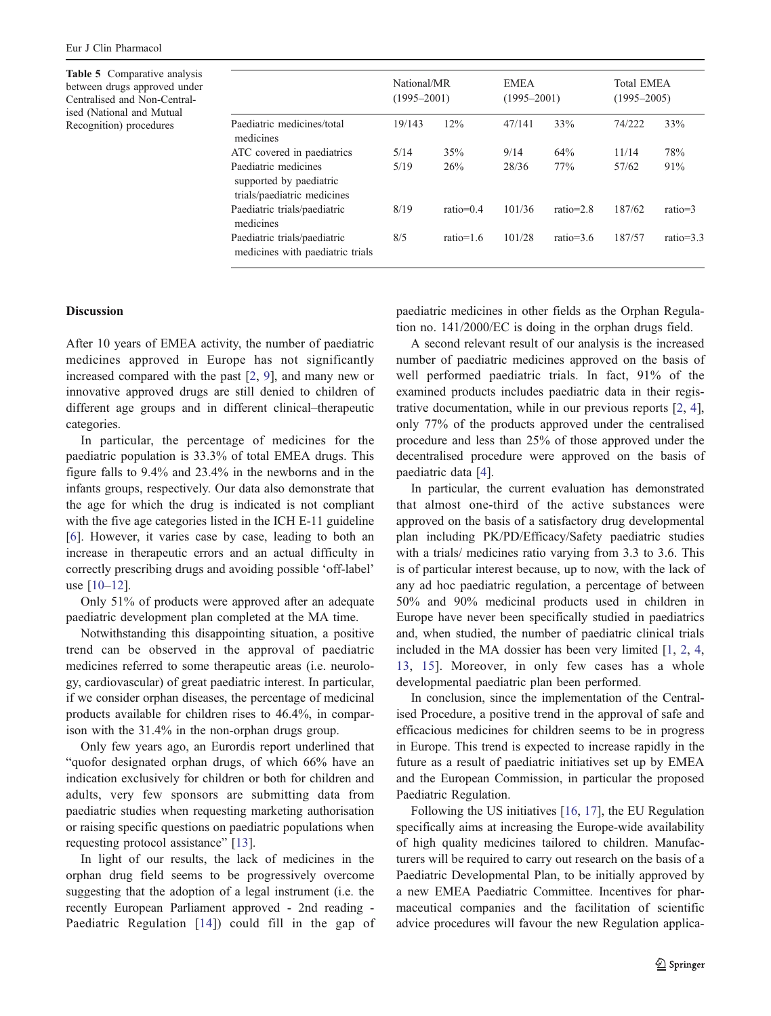<span id="page-4-0"></span>Table 5 Comparative analysis between drugs approved under Centralised and Non-Centralised (National and Mutual Recognition) procedures

| $(1995 - 2001)$ |                                      |             |  |
|-----------------|--------------------------------------|-------------|--|
|                 | <b>Total EMEA</b><br>$(1995 - 2005)$ |             |  |
| 33%             | 74/222                               | 33%         |  |
| 64%             | 11/14                                | 78%         |  |
| 77%             | 57/62                                | 91%         |  |
| $ratio=2.8$     | 187/62                               | $ratio=3$   |  |
| $ratio=3.6$     | 187/57                               | $ratio=3.3$ |  |
|                 |                                      |             |  |

## **Discussion**

After 10 years of EMEA activity, the number of paediatric medicines approved in Europe has not significantly increased compared with the past [[2,](#page-5-0) [9\]](#page-5-0), and many new or innovative approved drugs are still denied to children of different age groups and in different clinical–therapeutic categories.

In particular, the percentage of medicines for the paediatric population is 33.3% of total EMEA drugs. This figure falls to 9.4% and 23.4% in the newborns and in the infants groups, respectively. Our data also demonstrate that the age for which the drug is indicated is not compliant with the five age categories listed in the ICH E-11 guideline [\[6](#page-5-0)]. However, it varies case by case, leading to both an increase in therapeutic errors and an actual difficulty in correctly prescribing drugs and avoiding possible 'off-label' use [[10](#page-5-0)–[12\]](#page-5-0).

Only 51% of products were approved after an adequate paediatric development plan completed at the MA time.

Notwithstanding this disappointing situation, a positive trend can be observed in the approval of paediatric medicines referred to some therapeutic areas (i.e. neurology, cardiovascular) of great paediatric interest. In particular, if we consider orphan diseases, the percentage of medicinal products available for children rises to 46.4%, in comparison with the 31.4% in the non-orphan drugs group.

Only few years ago, an Eurordis report underlined that "quofor designated orphan drugs, of which 66% have an indication exclusively for children or both for children and adults, very few sponsors are submitting data from paediatric studies when requesting marketing authorisation or raising specific questions on paediatric populations when requesting protocol assistance" [\[13](#page-5-0)].

In light of our results, the lack of medicines in the orphan drug field seems to be progressively overcome suggesting that the adoption of a legal instrument (i.e. the recently European Parliament approved - 2nd reading - Paediatric Regulation [[14](#page-5-0)]) could fill in the gap of paediatric medicines in other fields as the Orphan Regulation no. 141/2000/EC is doing in the orphan drugs field.

A second relevant result of our analysis is the increased number of paediatric medicines approved on the basis of well performed paediatric trials. In fact, 91% of the examined products includes paediatric data in their registrative documentation, while in our previous reports [[2,](#page-5-0) [4\]](#page-5-0), only 77% of the products approved under the centralised procedure and less than 25% of those approved under the decentralised procedure were approved on the basis of paediatric data [\[4](#page-5-0)].

In particular, the current evaluation has demonstrated that almost one-third of the active substances were approved on the basis of a satisfactory drug developmental plan including PK/PD/Efficacy/Safety paediatric studies with a trials/ medicines ratio varying from 3.3 to 3.6. This is of particular interest because, up to now, with the lack of any ad hoc paediatric regulation, a percentage of between 50% and 90% medicinal products used in children in Europe have never been specifically studied in paediatrics and, when studied, the number of paediatric clinical trials included in the MA dossier has been very limited [\[1,](#page-5-0) [2,](#page-5-0) [4,](#page-5-0) [13,](#page-5-0) [15](#page-5-0)]. Moreover, in only few cases has a whole developmental paediatric plan been performed.

In conclusion, since the implementation of the Centralised Procedure, a positive trend in the approval of safe and efficacious medicines for children seems to be in progress in Europe. This trend is expected to increase rapidly in the future as a result of paediatric initiatives set up by EMEA and the European Commission, in particular the proposed Paediatric Regulation.

Following the US initiatives [\[16](#page-5-0), [17](#page-5-0)], the EU Regulation specifically aims at increasing the Europe-wide availability of high quality medicines tailored to children. Manufacturers will be required to carry out research on the basis of a Paediatric Developmental Plan, to be initially approved by a new EMEA Paediatric Committee. Incentives for pharmaceutical companies and the facilitation of scientific advice procedures will favour the new Regulation applica-